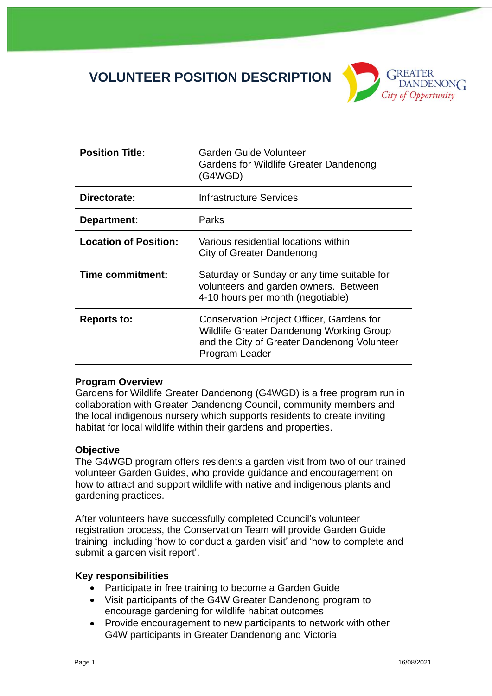# **VOLUNTEER POSITION DESCRIPTION**



| <b>Position Title:</b>       | <b>Garden Guide Volunteer</b><br><b>Gardens for Wildlife Greater Dandenong</b><br>(G4WGD)                                                                     |
|------------------------------|---------------------------------------------------------------------------------------------------------------------------------------------------------------|
| Directorate:                 | Infrastructure Services                                                                                                                                       |
| Department:                  | Parks                                                                                                                                                         |
| <b>Location of Position:</b> | Various residential locations within<br>City of Greater Dandenong                                                                                             |
| Time commitment:             | Saturday or Sunday or any time suitable for<br>volunteers and garden owners. Between<br>4-10 hours per month (negotiable)                                     |
| <b>Reports to:</b>           | Conservation Project Officer, Gardens for<br><b>Wildlife Greater Dandenong Working Group</b><br>and the City of Greater Dandenong Volunteer<br>Program Leader |

#### **Program Overview**

Gardens for Wildlife Greater Dandenong (G4WGD) is a free program run in collaboration with Greater Dandenong Council, community members and the local indigenous nursery which supports residents to create inviting habitat for local wildlife within their gardens and properties.

#### **Objective**

The G4WGD program offers residents a garden visit from two of our trained volunteer Garden Guides, who provide guidance and encouragement on how to attract and support wildlife with native and indigenous plants and gardening practices.

After volunteers have successfully completed Council's volunteer registration process, the Conservation Team will provide Garden Guide training, including 'how to conduct a garden visit' and 'how to complete and submit a garden visit report'.

#### **Key responsibilities**

- Participate in free training to become a Garden Guide
- Visit participants of the G4W Greater Dandenong program to encourage gardening for wildlife habitat outcomes
- Provide encouragement to new participants to network with other G4W participants in Greater Dandenong and Victoria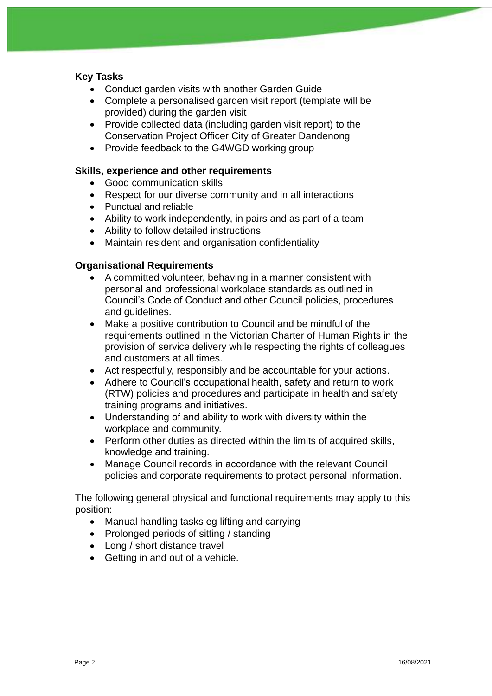# **Key Tasks**

- Conduct garden visits with another Garden Guide
- Complete a personalised garden visit report (template will be provided) during the garden visit
- Provide collected data (including garden visit report) to the Conservation Project Officer City of Greater Dandenong
- Provide feedback to the G4WGD working group

### **Skills, experience and other requirements**

- Good communication skills
- Respect for our diverse community and in all interactions
- Punctual and reliable
- Ability to work independently, in pairs and as part of a team
- Ability to follow detailed instructions
- Maintain resident and organisation confidentiality

# **Organisational Requirements**

- A committed volunteer, behaving in a manner consistent with personal and professional workplace standards as outlined in Council's Code of Conduct and other Council policies, procedures and guidelines.
- Make a positive contribution to Council and be mindful of the requirements outlined in the Victorian Charter of Human Rights in the provision of service delivery while respecting the rights of colleagues and customers at all times.
- Act respectfully, responsibly and be accountable for your actions.
- Adhere to Council's occupational health, safety and return to work (RTW) policies and procedures and participate in health and safety training programs and initiatives.
- Understanding of and ability to work with diversity within the workplace and community.
- Perform other duties as directed within the limits of acquired skills, knowledge and training.
- Manage Council records in accordance with the relevant Council policies and corporate requirements to protect personal information.

The following general physical and functional requirements may apply to this position:

- Manual handling tasks eg lifting and carrying
- Prolonged periods of sitting / standing
- Long / short distance travel
- Getting in and out of a vehicle.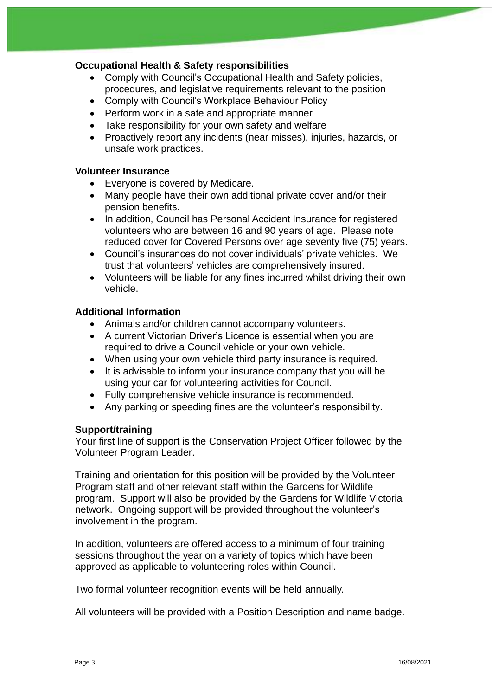# **Occupational Health & Safety responsibilities**

- Comply with Council's Occupational Health and Safety policies, procedures, and legislative requirements relevant to the position
- Comply with Council's Workplace Behaviour Policy
- Perform work in a safe and appropriate manner
- Take responsibility for your own safety and welfare
- Proactively report any incidents (near misses), injuries, hazards, or unsafe work practices.

## **Volunteer Insurance**

- Everyone is covered by Medicare.
- Many people have their own additional private cover and/or their pension benefits.
- In addition, Council has Personal Accident Insurance for registered volunteers who are between 16 and 90 years of age. Please note reduced cover for Covered Persons over age seventy five (75) years.
- Council's insurances do not cover individuals' private vehicles. We trust that volunteers' vehicles are comprehensively insured.
- Volunteers will be liable for any fines incurred whilst driving their own vehicle.

# **Additional Information**

- Animals and/or children cannot accompany volunteers.
- A current Victorian Driver's Licence is essential when you are required to drive a Council vehicle or your own vehicle.
- When using your own vehicle third party insurance is required.
- It is advisable to inform your insurance company that you will be using your car for volunteering activities for Council.
- Fully comprehensive vehicle insurance is recommended.
- Any parking or speeding fines are the volunteer's responsibility.

#### **Support/training**

Your first line of support is the Conservation Project Officer followed by the Volunteer Program Leader.

Training and orientation for this position will be provided by the Volunteer Program staff and other relevant staff within the Gardens for Wildlife program. Support will also be provided by the Gardens for Wildlife Victoria network. Ongoing support will be provided throughout the volunteer's involvement in the program.

In addition, volunteers are offered access to a minimum of four training sessions throughout the year on a variety of topics which have been approved as applicable to volunteering roles within Council.

Two formal volunteer recognition events will be held annually.

All volunteers will be provided with a Position Description and name badge.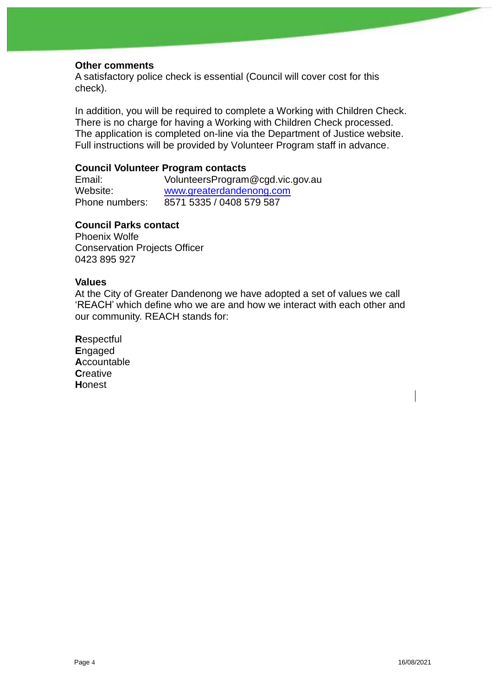#### **Other comments**

A satisfactory police check is essential (Council will cover cost for this check).

In addition, you will be required to complete a Working with Children Check. There is no charge for having a Working with Children Check processed. The application is completed on-line via the Department of Justice website. Full instructions will be provided by Volunteer Program staff in advance.

## **Council Volunteer Program contacts**

Email: VolunteersProgram@cgd.vic.gov.au Website: [www.greaterdandenong.com](http://www.greaterdandenong.com/) Phone numbers: 8571 5335 / 0408 579 587

## **Council Parks contact**

Phoenix Wolfe Conservation Projects Officer 0423 895 927

#### **Values**

At the City of Greater Dandenong we have adopted a set of values we call 'REACH' which define who we are and how we interact with each other and our community. REACH stands for:

**R**espectful **E**ngaged **A**ccountable **C**reative **H**onest